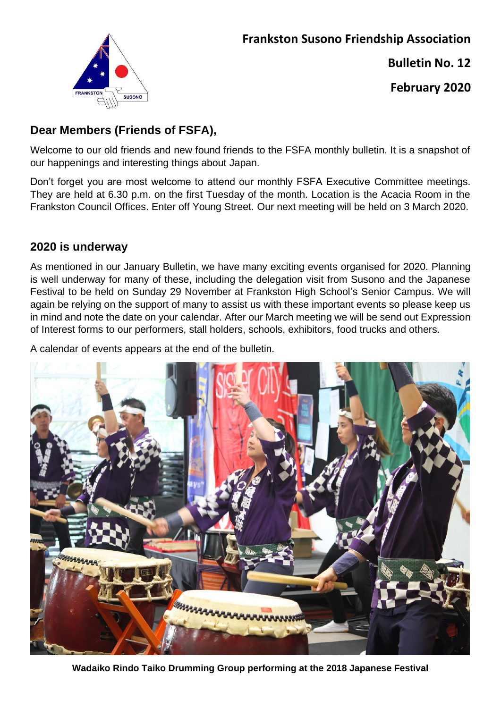

**Bulletin No. 12**

**February 2020**

# **Dear Members (Friends of FSFA),**

Welcome to our old friends and new found friends to the FSFA monthly bulletin. It is a snapshot of our happenings and interesting things about Japan.

Don't forget you are most welcome to attend our monthly FSFA Executive Committee meetings. They are held at 6.30 p.m. on the first Tuesday of the month. Location is the Acacia Room in the Frankston Council Offices. Enter off Young Street. Our next meeting will be held on 3 March 2020.

## **2020 is underway**

As mentioned in our January Bulletin, we have many exciting events organised for 2020. Planning is well underway for many of these, including the delegation visit from Susono and the Japanese Festival to be held on Sunday 29 November at Frankston High School's Senior Campus. We will again be relying on the support of many to assist us with these important events so please keep us in mind and note the date on your calendar. After our March meeting we will be send out Expression of Interest forms to our performers, stall holders, schools, exhibitors, food trucks and others.

A calendar of events appears at the end of the bulletin.



**Wadaiko Rindo Taiko Drumming Group performing at the 2018 Japanese Festival**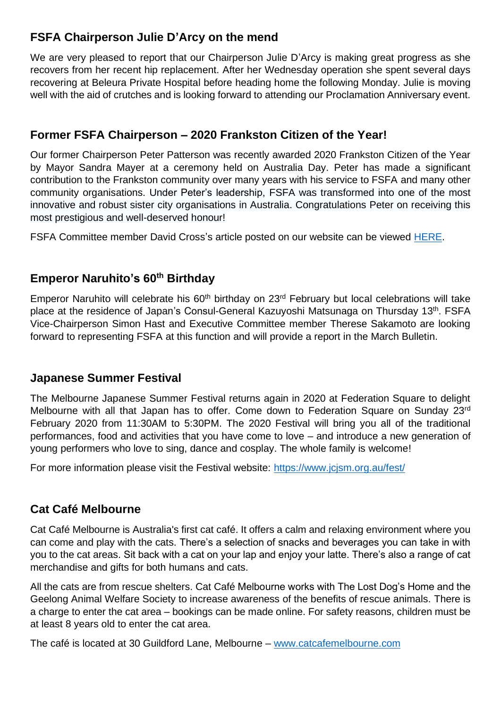#### **FSFA Chairperson Julie D'Arcy on the mend**

We are very pleased to report that our Chairperson Julie D'Arcy is making great progress as she recovers from her recent hip replacement. After her Wednesday operation she spent several days recovering at Beleura Private Hospital before heading home the following Monday. Julie is moving well with the aid of crutches and is looking forward to attending our Proclamation Anniversary event.

## **Former FSFA Chairperson – 2020 Frankston Citizen of the Year!**

Our former Chairperson Peter Patterson was recently awarded 2020 Frankston Citizen of the Year by Mayor Sandra Mayer at a ceremony held on Australia Day. Peter has made a significant contribution to the Frankston community over many years with his service to FSFA and many other community organisations. Under Peter's leadership, FSFA was transformed into one of the most innovative and robust sister city organisations in Australia. Congratulations Peter on receiving this most prestigious and well-deserved honour!

FSFA Committee member David Cross's article posted on our website can be viewed [HERE.](http://www.frankston-susono.com/2020/01/australia-day-2020-in-frankston.html)

## **Emperor Naruhito's 60th Birthday**

Emperor Naruhito will celebrate his 60<sup>th</sup> birthday on 23<sup>rd</sup> February but local celebrations will take place at the residence of Japan's Consul-General Kazuyoshi Matsunaga on Thursday 13<sup>th</sup>. FSFA Vice-Chairperson Simon Hast and Executive Committee member Therese Sakamoto are looking forward to representing FSFA at this function and will provide a report in the March Bulletin.

#### **Japanese Summer Festival**

The Melbourne Japanese Summer Festival returns again in 2020 at Federation Square to delight Melbourne with all that Japan has to offer. Come down to Federation Square on Sunday 23<sup>rd</sup> February 2020 from 11:30AM to 5:30PM. The 2020 Festival will bring you all of the traditional performances, food and activities that you have come to love – and introduce a new generation of young performers who love to sing, dance and cosplay. The whole family is welcome!

For more information please visit the Festival website:<https://www.jcjsm.org.au/fest/>

#### **Cat Café Melbourne**

Cat Café Melbourne is Australia's first cat café. It offers a calm and relaxing environment where you can come and play with the cats. There's a selection of snacks and beverages you can take in with you to the cat areas. Sit back with a cat on your lap and enjoy your latte. There's also a range of cat merchandise and gifts for both humans and cats.

All the cats are from rescue shelters. Cat Café Melbourne works with The Lost Dog's Home and the Geelong Animal Welfare Society to increase awareness of the benefits of rescue animals. There is a charge to enter the cat area – bookings can be made online. For safety reasons, children must be at least 8 years old to enter the cat area.

The café is located at 30 Guildford Lane, Melbourne – [www.catcafemelbourne.com](http://www.catcafemelbourne.com/)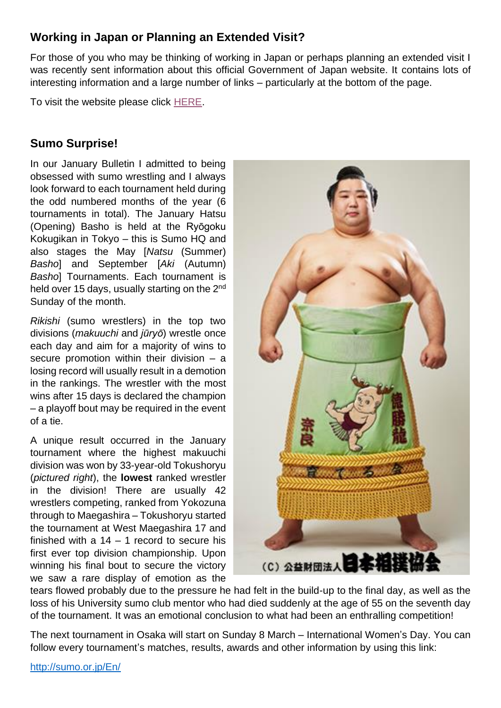## **Working in Japan or Planning an Extended Visit?**

For those of you who may be thinking of working in Japan or perhaps planning an extended visit I was recently sent information about this official Government of Japan website. It contains lots of interesting information and a large number of links – particularly at the bottom of the page.

To visit the website please click [HERE.](https://www.japan.go.jp/regions/regionsontherise/?utm_source=fb&utm_medium=social&utm_content=9&utm_campaign=202002_monocle_au&fbclid=IwAR1WlUVtVyApB2wX8G_osQAwciAxAUWk5ksDLilbYW8dWW1qXwR_LMqcwRU)

#### **Sumo Surprise!**

In our January Bulletin I admitted to being obsessed with sumo wrestling and I always look forward to each tournament held during the odd numbered months of the year (6 tournaments in total). The January Hatsu (Opening) Basho is held at the [Ryōgoku](https://en.wikipedia.org/wiki/Ry%C5%8Dgoku_Kokugikan)  [Kokugikan](https://en.wikipedia.org/wiki/Ry%C5%8Dgoku_Kokugikan) in Tokyo – this is Sumo HQ and also stages the May [*Natsu* (Summer) *Basho*] and September [*Aki* (Autumn) *Basho*] Tournaments. Each tournament is held over 15 days, usually starting on the 2<sup>nd</sup> Sunday of the month.

*Rikishi* (sumo wrestlers) in the top two divisions (*makuuchi* and *[jūryō](https://en.wikipedia.org/wiki/J%C5%ABry%C5%8D)*) wrestle once each day and aim for a majority of wins to secure promotion within their division  $-$  a losing record will usually result in a demotion in the rankings. The wrestler with the most wins after 15 days is declared the champion – a playoff bout may be required in the event of a tie.

A unique result occurred in the January tournament where the highest makuuchi division was won by 33-year-old Tokushoryu (*pictured right*), the **lowest** ranked wrestler in the division! There are usually 42 wrestlers competing, ranked from Yokozuna through to Maegashira – Tokushoryu started the tournament at West Maegashira 17 and finished with a  $14 - 1$  record to secure his first ever top division championship. Upon winning his final bout to secure the victory we saw a rare display of emotion as the



tears flowed probably due to the pressure he had felt in the build-up to the final day, as well as the loss of his University sumo club mentor who had died suddenly at the age of 55 on the seventh day of the tournament. It was an emotional conclusion to what had been an enthralling competition!

The next tournament in Osaka will start on Sunday 8 March – International Women's Day. You can follow every tournament's matches, results, awards and other information by using this link: